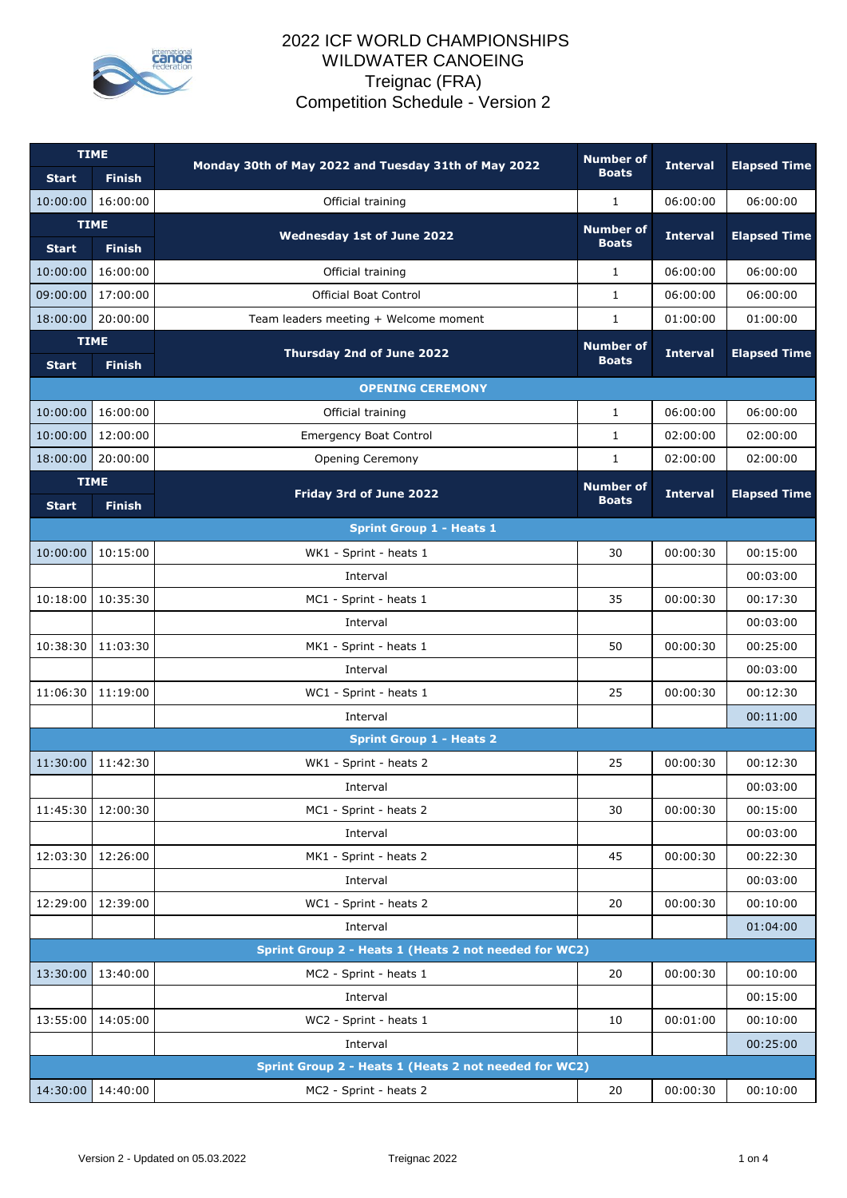

## 2022 ICF WORLD CHAMPIONSHIPS WILDWATER CANOEING Treignac (FRA) Competition Schedule - Version 2

| <b>TIME</b>  |                              | Monday 30th of May 2022 and Tuesday 31th of May 2022  | <b>Number of</b><br><b>Interval</b> | <b>Elapsed Time</b> |                     |
|--------------|------------------------------|-------------------------------------------------------|-------------------------------------|---------------------|---------------------|
| <b>Start</b> | <b>Finish</b>                |                                                       | <b>Boats</b>                        |                     |                     |
| 10:00:00     | 16:00:00                     | Official training                                     | $\mathbf{1}$                        | 06:00:00            | 06:00:00            |
| <b>Start</b> | <b>TIME</b><br><b>Finish</b> | <b>Wednesday 1st of June 2022</b>                     | <b>Number of</b><br><b>Boats</b>    | <b>Interval</b>     | <b>Elapsed Time</b> |
| 10:00:00     | 16:00:00                     | Official training                                     | $\mathbf{1}$                        | 06:00:00            | 06:00:00            |
| 09:00:00     | 17:00:00                     | <b>Official Boat Control</b>                          | $\mathbf{1}$                        | 06:00:00            | 06:00:00            |
| 18:00:00     | 20:00:00                     | Team leaders meeting + Welcome moment                 | 1                                   | 01:00:00            | 01:00:00            |
| <b>TIME</b>  |                              |                                                       | <b>Number of</b>                    |                     |                     |
| <b>Start</b> | <b>Finish</b>                | Thursday 2nd of June 2022                             | <b>Boats</b>                        | <b>Interval</b>     | <b>Elapsed Time</b> |
|              |                              | <b>OPENING CEREMONY</b>                               |                                     |                     |                     |
| 10:00:00     | 16:00:00                     | Official training                                     | 1                                   | 06:00:00            | 06:00:00            |
| 10:00:00     | 12:00:00                     | <b>Emergency Boat Control</b>                         | $\mathbf{1}$                        | 02:00:00            | 02:00:00            |
| 18:00:00     | 20:00:00                     | Opening Ceremony                                      | $\mathbf{1}$                        | 02:00:00            | 02:00:00            |
|              | <b>TIME</b>                  |                                                       | <b>Number of</b>                    |                     |                     |
| <b>Start</b> | <b>Finish</b>                | Friday 3rd of June 2022                               | <b>Boats</b>                        | <b>Interval</b>     | <b>Elapsed Time</b> |
|              |                              | <b>Sprint Group 1 - Heats 1</b>                       |                                     |                     |                     |
| 10:00:00     | 10:15:00                     | WK1 - Sprint - heats 1                                | 30                                  | 00:00:30            | 00:15:00            |
|              |                              | Interval                                              |                                     |                     | 00:03:00            |
| 10:18:00     | 10:35:30                     | MC1 - Sprint - heats 1                                | 35                                  | 00:00:30            | 00:17:30            |
|              |                              | Interval                                              |                                     |                     | 00:03:00            |
| 10:38:30     | 11:03:30                     | MK1 - Sprint - heats 1                                | 50                                  | 00:00:30            | 00:25:00            |
|              |                              | Interval                                              |                                     |                     | 00:03:00            |
| 11:06:30     | 11:19:00                     | WC1 - Sprint - heats 1                                | 25                                  | 00:00:30            | 00:12:30            |
|              |                              | Interval                                              |                                     |                     | 00:11:00            |
|              |                              | <b>Sprint Group 1 - Heats 2</b>                       |                                     |                     |                     |
| 11:30:00     | 11:42:30                     | WK1 - Sprint - heats 2                                | 25                                  | 00:00:30            | 00:12:30            |
|              |                              | Interval                                              |                                     |                     | 00:03:00            |
| 11:45:30     | 12:00:30                     | MC1 - Sprint - heats 2                                | 30                                  | 00:00:30            | 00:15:00            |
|              |                              | Interval                                              |                                     |                     | 00:03:00            |
| 12:03:30     | 12:26:00                     | MK1 - Sprint - heats 2                                | 45                                  | 00:00:30            | 00:22:30            |
|              |                              | Interval                                              |                                     |                     | 00:03:00            |
| 12:29:00     | 12:39:00                     | WC1 - Sprint - heats 2                                | 20                                  | 00:00:30            | 00:10:00            |
|              |                              | Interval                                              |                                     |                     | 01:04:00            |
|              |                              | Sprint Group 2 - Heats 1 (Heats 2 not needed for WC2) |                                     |                     |                     |
| 13:30:00     | 13:40:00                     | MC2 - Sprint - heats 1                                | 20                                  | 00:00:30            | 00:10:00            |
|              |                              | Interval                                              |                                     |                     | 00:15:00            |
| 13:55:00     | 14:05:00                     | WC2 - Sprint - heats 1                                | 10                                  | 00:01:00            | 00:10:00            |
|              |                              | Interval                                              |                                     |                     | 00:25:00            |
|              |                              | Sprint Group 2 - Heats 1 (Heats 2 not needed for WC2) |                                     |                     |                     |
| 14:30:00     | 14:40:00                     | MC2 - Sprint - heats 2                                | 20                                  | 00:00:30            | 00:10:00            |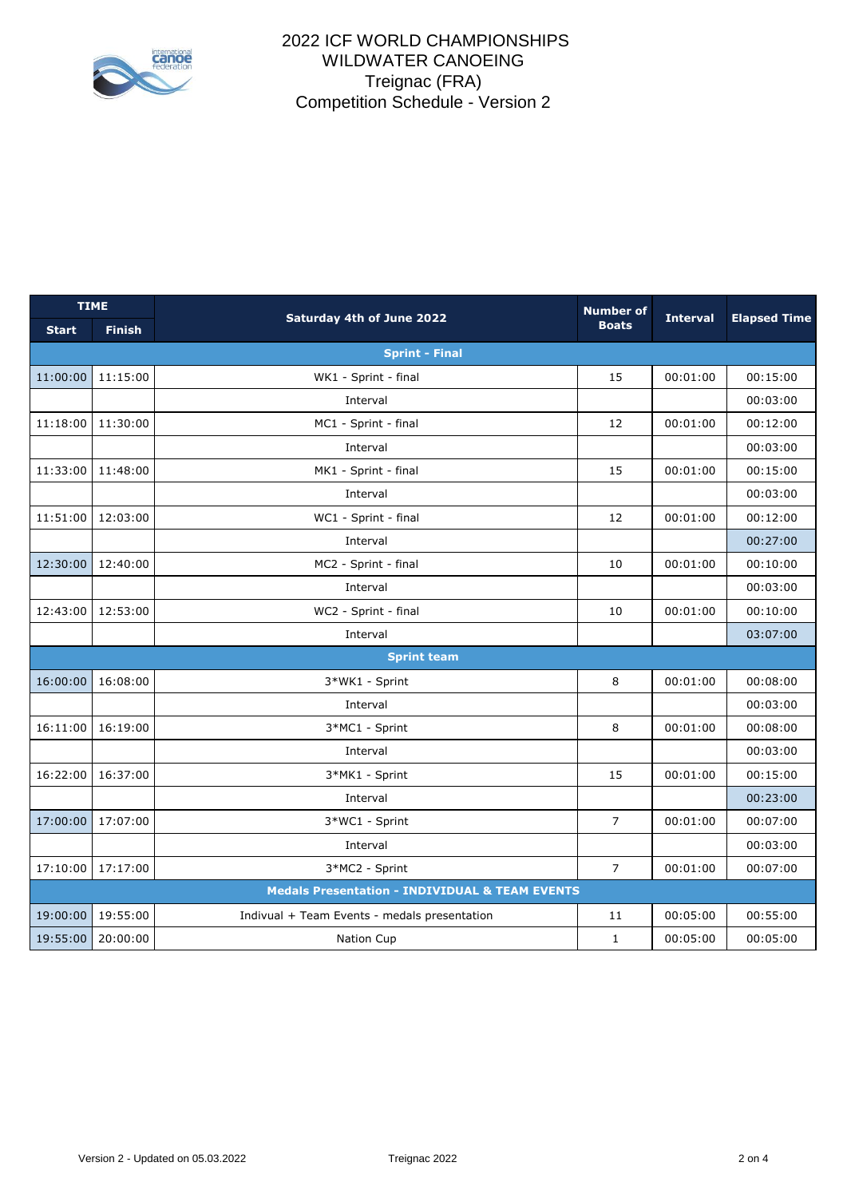

## 2022 ICF WORLD CHAMPIONSHIPS WILDWATER CANOEING Treignac (FRA) Competition Schedule - Version 2

| <b>TIME</b>                                               |                    | <b>Saturday 4th of June 2022</b>             | <b>Number of</b> | <b>Interval</b> | <b>Elapsed Time</b> |  |  |  |
|-----------------------------------------------------------|--------------------|----------------------------------------------|------------------|-----------------|---------------------|--|--|--|
| <b>Start</b>                                              | <b>Finish</b>      |                                              | <b>Boats</b>     |                 |                     |  |  |  |
| <b>Sprint - Final</b>                                     |                    |                                              |                  |                 |                     |  |  |  |
| 11:00:00                                                  | 11:15:00           | WK1 - Sprint - final                         | 15               | 00:01:00        | 00:15:00            |  |  |  |
|                                                           |                    | Interval                                     |                  |                 | 00:03:00            |  |  |  |
| 11:18:00                                                  | 11:30:00           | MC1 - Sprint - final                         | 12               | 00:01:00        | 00:12:00            |  |  |  |
|                                                           |                    | Interval                                     |                  |                 | 00:03:00            |  |  |  |
| 11:33:00                                                  | 11:48:00           | MK1 - Sprint - final                         | 15               | 00:01:00        | 00:15:00            |  |  |  |
|                                                           |                    | Interval                                     |                  |                 | 00:03:00            |  |  |  |
| 11:51:00                                                  | 12:03:00           | WC1 - Sprint - final                         | 12               | 00:01:00        | 00:12:00            |  |  |  |
|                                                           |                    | Interval                                     |                  |                 | 00:27:00            |  |  |  |
| 12:30:00                                                  | 12:40:00           | MC2 - Sprint - final                         | 10               | 00:01:00        | 00:10:00            |  |  |  |
|                                                           |                    | Interval                                     |                  |                 | 00:03:00            |  |  |  |
| 12:43:00                                                  | 12:53:00           | WC2 - Sprint - final                         | 10               | 00:01:00        | 00:10:00            |  |  |  |
|                                                           |                    | Interval                                     |                  |                 | 03:07:00            |  |  |  |
|                                                           | <b>Sprint team</b> |                                              |                  |                 |                     |  |  |  |
| 16:00:00                                                  | 16:08:00           | 3*WK1 - Sprint                               | 8                | 00:01:00        | 00:08:00            |  |  |  |
|                                                           |                    | Interval                                     |                  |                 | 00:03:00            |  |  |  |
| 16:11:00                                                  | 16:19:00           | 3*MC1 - Sprint                               | 8                | 00:01:00        | 00:08:00            |  |  |  |
|                                                           |                    | Interval                                     |                  |                 | 00:03:00            |  |  |  |
| 16:22:00                                                  | 16:37:00           | 3*MK1 - Sprint                               | 15               | 00:01:00        | 00:15:00            |  |  |  |
|                                                           |                    | Interval                                     |                  |                 | 00:23:00            |  |  |  |
| 17:00:00                                                  | 17:07:00           | 3*WC1 - Sprint                               | $\overline{7}$   | 00:01:00        | 00:07:00            |  |  |  |
|                                                           |                    | Interval                                     |                  |                 | 00:03:00            |  |  |  |
| 17:10:00                                                  | 17:17:00           | 3*MC2 - Sprint                               | $\overline{7}$   | 00:01:00        | 00:07:00            |  |  |  |
| <b>Medals Presentation - INDIVIDUAL &amp; TEAM EVENTS</b> |                    |                                              |                  |                 |                     |  |  |  |
| 19:00:00                                                  | 19:55:00           | Indivual + Team Events - medals presentation | 11               | 00:05:00        | 00:55:00            |  |  |  |
| 19:55:00                                                  | 20:00:00           | Nation Cup                                   | $\mathbf{1}$     | 00:05:00        | 00:05:00            |  |  |  |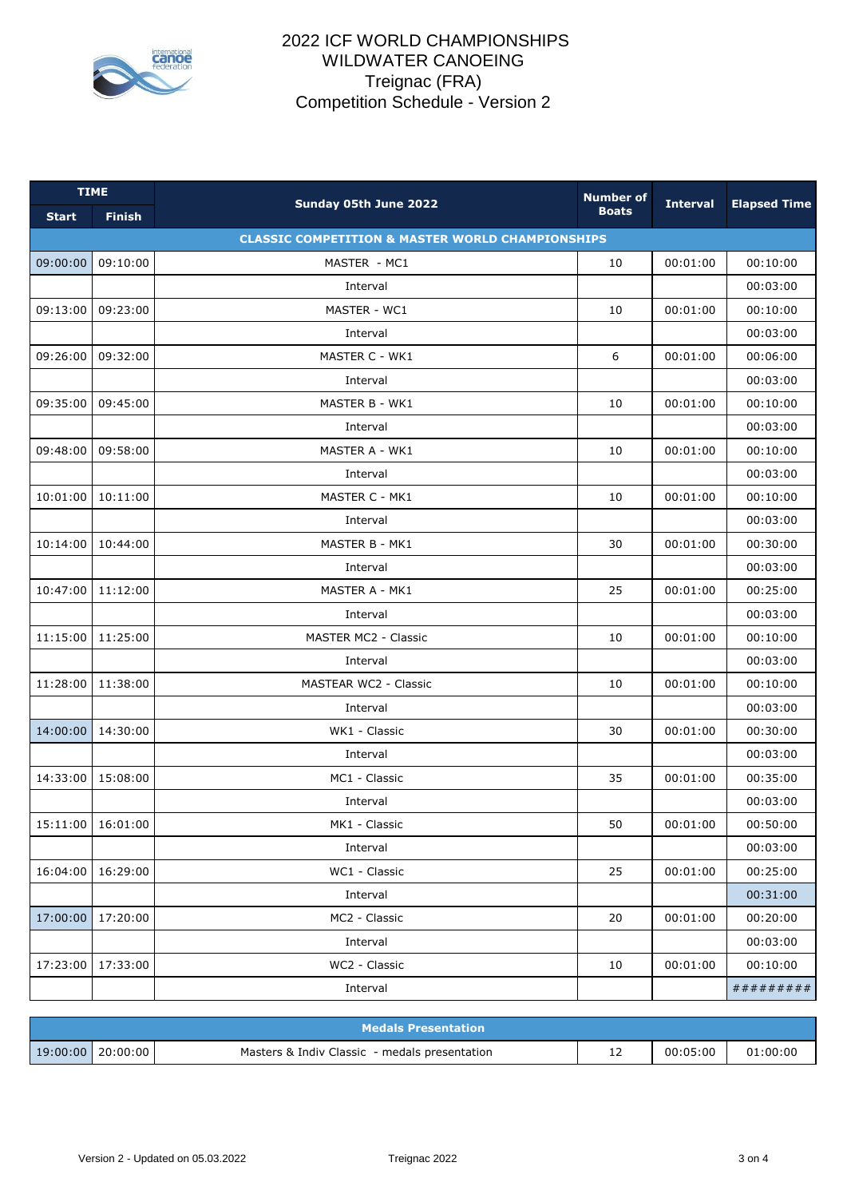

## 2022 ICF WORLD CHAMPIONSHIPS WILDWATER CANOEING Treignac (FRA) Competition Schedule - Version 2

| <b>TIME</b>                                                 |               |                              | <b>Number of</b> |                 |                     |  |  |
|-------------------------------------------------------------|---------------|------------------------------|------------------|-----------------|---------------------|--|--|
| <b>Start</b>                                                | <b>Finish</b> | Sunday 05th June 2022        | <b>Boats</b>     | <b>Interval</b> | <b>Elapsed Time</b> |  |  |
| <b>CLASSIC COMPETITION &amp; MASTER WORLD CHAMPIONSHIPS</b> |               |                              |                  |                 |                     |  |  |
| 09:00:00                                                    | 09:10:00      | MASTER - MC1                 | 10               | 00:01:00        | 00:10:00            |  |  |
|                                                             |               | Interval                     |                  |                 | 00:03:00            |  |  |
| 09:13:00                                                    | 09:23:00      | MASTER - WC1                 | 10               | 00:01:00        | 00:10:00            |  |  |
|                                                             |               | Interval                     |                  |                 | 00:03:00            |  |  |
| 09:26:00                                                    | 09:32:00      | MASTER C - WK1               | 6                | 00:01:00        | 00:06:00            |  |  |
|                                                             |               | Interval                     |                  |                 | 00:03:00            |  |  |
| 09:35:00                                                    | 09:45:00      | MASTER B - WK1               | 10               | 00:01:00        | 00:10:00            |  |  |
|                                                             |               | Interval                     |                  |                 | 00:03:00            |  |  |
| 09:48:00                                                    | 09:58:00      | MASTER A - WK1               | 10               | 00:01:00        | 00:10:00            |  |  |
|                                                             |               | Interval                     |                  |                 | 00:03:00            |  |  |
| 10:01:00                                                    | 10:11:00      | MASTER C - MK1               | 10               | 00:01:00        | 00:10:00            |  |  |
|                                                             |               | Interval                     |                  |                 | 00:03:00            |  |  |
| 10:14:00                                                    | 10:44:00      | MASTER B - MK1               | 30               | 00:01:00        | 00:30:00            |  |  |
|                                                             |               | Interval                     |                  |                 | 00:03:00            |  |  |
| 10:47:00                                                    | 11:12:00      | MASTER A - MK1               | 25               | 00:01:00        | 00:25:00            |  |  |
|                                                             |               | Interval                     |                  |                 | 00:03:00            |  |  |
| 11:15:00                                                    | 11:25:00      | MASTER MC2 - Classic         | 10               | 00:01:00        | 00:10:00            |  |  |
|                                                             |               | Interval                     |                  |                 | 00:03:00            |  |  |
| 11:28:00                                                    | 11:38:00      | <b>MASTEAR WC2 - Classic</b> | 10               | 00:01:00        | 00:10:00            |  |  |
|                                                             |               | Interval                     |                  |                 | 00:03:00            |  |  |
| 14:00:00                                                    | 14:30:00      | WK1 - Classic                | 30               | 00:01:00        | 00:30:00            |  |  |
|                                                             |               | Interval                     |                  |                 | 00:03:00            |  |  |
| 14:33:00                                                    | 15:08:00      | MC1 - Classic                | 35               | 00:01:00        | 00:35:00            |  |  |
|                                                             |               | Interval                     |                  |                 | 00:03:00            |  |  |
| 15:11:00                                                    | 16:01:00      | MK1 - Classic                | 50               | 00:01:00        | 00:50:00            |  |  |
|                                                             |               | Interval                     |                  |                 | 00:03:00            |  |  |
| 16:04:00                                                    | 16:29:00      | WC1 - Classic                | 25               | 00:01:00        | 00:25:00            |  |  |
|                                                             |               | Interval                     |                  |                 | 00:31:00            |  |  |
| 17:00:00                                                    | 17:20:00      | MC2 - Classic                | 20               | 00:01:00        | 00:20:00            |  |  |
|                                                             |               | Interval                     |                  |                 | 00:03:00            |  |  |
| 17:23:00                                                    | 17:33:00      | WC2 - Classic                | 10               | 00:01:00        | 00:10:00            |  |  |
|                                                             |               | Interval                     |                  |                 | #########           |  |  |

| <b>Medals Presentation</b> |  |                                               |   |          |          |  |  |
|----------------------------|--|-----------------------------------------------|---|----------|----------|--|--|
| $19:00:00$   20 $:00:00$   |  | Masters & Indiv Classic - medals presentation | ᅩ | 00:05:00 | 01:00:00 |  |  |